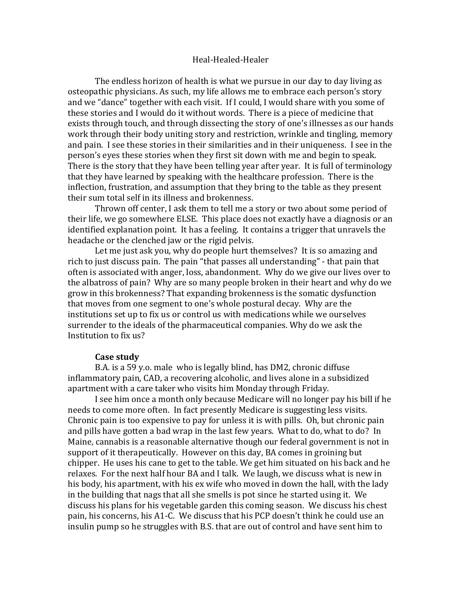## Heal-Healed-Healer

The endless horizon of health is what we pursue in our day to day living as osteopathic physicians. As such, my life allows me to embrace each person's story and we "dance" together with each visit. If I could, I would share with you some of these stories and I would do it without words. There is a piece of medicine that exists through touch, and through dissecting the story of one's illnesses as our hands work through their body uniting story and restriction, wrinkle and tingling, memory and pain. I see these stories in their similarities and in their uniqueness. I see in the person's eyes these stories when they first sit down with me and begin to speak. There is the story that they have been telling year after year. It is full of terminology that they have learned by speaking with the healthcare profession. There is the inflection, frustration, and assumption that they bring to the table as they present their sum total self in its illness and brokenness.

Thrown off center, I ask them to tell me a story or two about some period of their life, we go somewhere ELSE. This place does not exactly have a diagnosis or an identified explanation point. It has a feeling. It contains a trigger that unravels the headache or the clenched jaw or the rigid pelvis.

Let me just ask you, why do people hurt themselves? It is so amazing and rich to just discuss pain. The pain "that passes all understanding" - that pain that often is associated with anger, loss, abandonment. Why do we give our lives over to the albatross of pain? Why are so many people broken in their heart and why do we grow in this brokenness? That expanding brokenness is the somatic dysfunction that moves from one segment to one's whole postural decay. Why are the institutions set up to fix us or control us with medications while we ourselves surrender to the ideals of the pharmaceutical companies. Why do we ask the Institution to fix us?

## **Case study**

B.A. is a 59 y.o. male who is legally blind, has DM2, chronic diffuse inflammatory pain, CAD, a recovering alcoholic, and lives alone in a subsidized apartment with a care taker who visits him Monday through Friday.

I see him once a month only because Medicare will no longer pay his bill if he needs to come more often. In fact presently Medicare is suggesting less visits. Chronic pain is too expensive to pay for unless it is with pills. Oh, but chronic pain and pills have gotten a bad wrap in the last few years. What to do, what to do? In Maine, cannabis is a reasonable alternative though our federal government is not in support of it therapeutically. However on this day, BA comes in groining but chipper. He uses his cane to get to the table. We get him situated on his back and he relaxes. For the next half hour BA and I talk. We laugh, we discuss what is new in his body, his apartment, with his ex wife who moved in down the hall, with the lady in the building that nags that all she smells is pot since he started using it. We discuss his plans for his vegetable garden this coming season. We discuss his chest pain, his concerns, his A1-C. We discuss that his PCP doesn't think he could use an insulin pump so he struggles with B.S. that are out of control and have sent him to